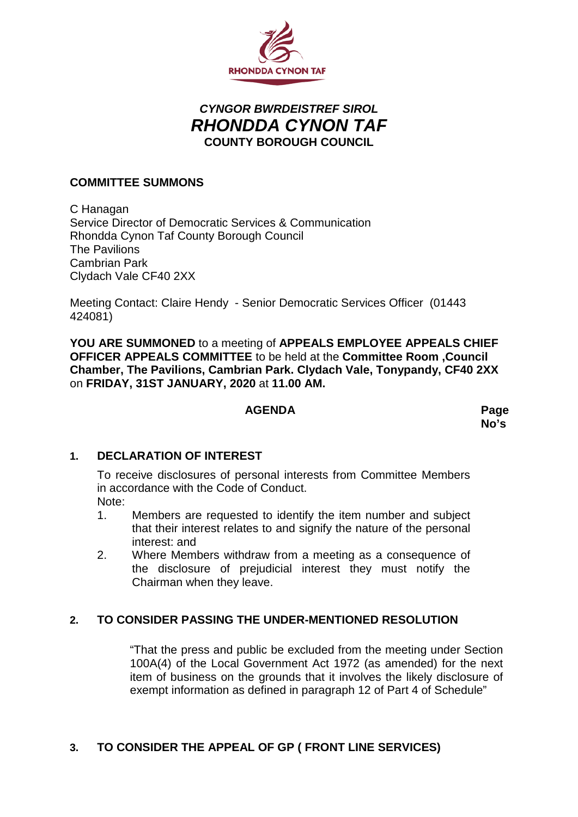

# *CYNGOR BWRDEISTREF SIROL RHONDDA CYNON TAF* **COUNTY BOROUGH COUNCIL**

## **COMMITTEE SUMMONS**

C Hanagan Service Director of Democratic Services & Communication Rhondda Cynon Taf County Borough Council The Pavilions Cambrian Park Clydach Vale CF40 2XX

Meeting Contact: Claire Hendy - Senior Democratic Services Officer (01443 424081)

**YOU ARE SUMMONED** to a meeting of **APPEALS EMPLOYEE APPEALS CHIEF OFFICER APPEALS COMMITTEE** to be held at the **Committee Room ,Council Chamber, The Pavilions, Cambrian Park. Clydach Vale, Tonypandy, CF40 2XX** on **FRIDAY, 31ST JANUARY, 2020** at **11.00 AM.**

#### **AGENDA Page**

**No's**

#### **1. DECLARATION OF INTEREST**

To receive disclosures of personal interests from Committee Members in accordance with the Code of Conduct. Note:

- 1. Members are requested to identify the item number and subject that their interest relates to and signify the nature of the personal interest: and
- 2. Where Members withdraw from a meeting as a consequence of the disclosure of prejudicial interest they must notify the Chairman when they leave.

# **2. TO CONSIDER PASSING THE UNDER-MENTIONED RESOLUTION**

"That the press and public be excluded from the meeting under Section 100A(4) of the Local Government Act 1972 (as amended) for the next item of business on the grounds that it involves the likely disclosure of exempt information as defined in paragraph 12 of Part 4 of Schedule"

# **3. TO CONSIDER THE APPEAL OF GP ( FRONT LINE SERVICES)**